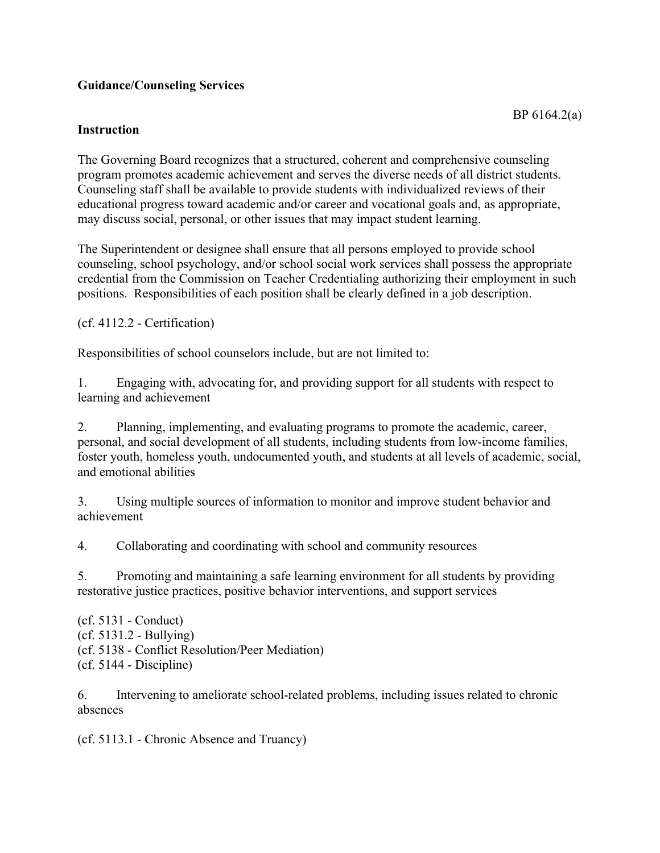# **Guidance/Counseling Services**

## **Instruction**

The Governing Board recognizes that a structured, coherent and comprehensive counseling program promotes academic achievement and serves the diverse needs of all district students. Counseling staff shall be available to provide students with individualized reviews of their educational progress toward academic and/or career and vocational goals and, as appropriate, may discuss social, personal, or other issues that may impact student learning.

The Superintendent or designee shall ensure that all persons employed to provide school counseling, school psychology, and/or school social work services shall possess the appropriate credential from the Commission on Teacher Credentialing authorizing their employment in such positions. Responsibilities of each position shall be clearly defined in a job description.

(cf. 4112.2 - Certification)

Responsibilities of school counselors include, but are not limited to:

1. Engaging with, advocating for, and providing support for all students with respect to learning and achievement

2. Planning, implementing, and evaluating programs to promote the academic, career, personal, and social development of all students, including students from low-income families, foster youth, homeless youth, undocumented youth, and students at all levels of academic, social, and emotional abilities

3. Using multiple sources of information to monitor and improve student behavior and achievement

4. Collaborating and coordinating with school and community resources

5. Promoting and maintaining a safe learning environment for all students by providing restorative justice practices, positive behavior interventions, and support services

(cf. 5131 - Conduct) (cf. 5131.2 - Bullying) (cf. 5138 - Conflict Resolution/Peer Mediation) (cf. 5144 - Discipline)

6. Intervening to ameliorate school-related problems, including issues related to chronic absences

(cf. 5113.1 - Chronic Absence and Truancy)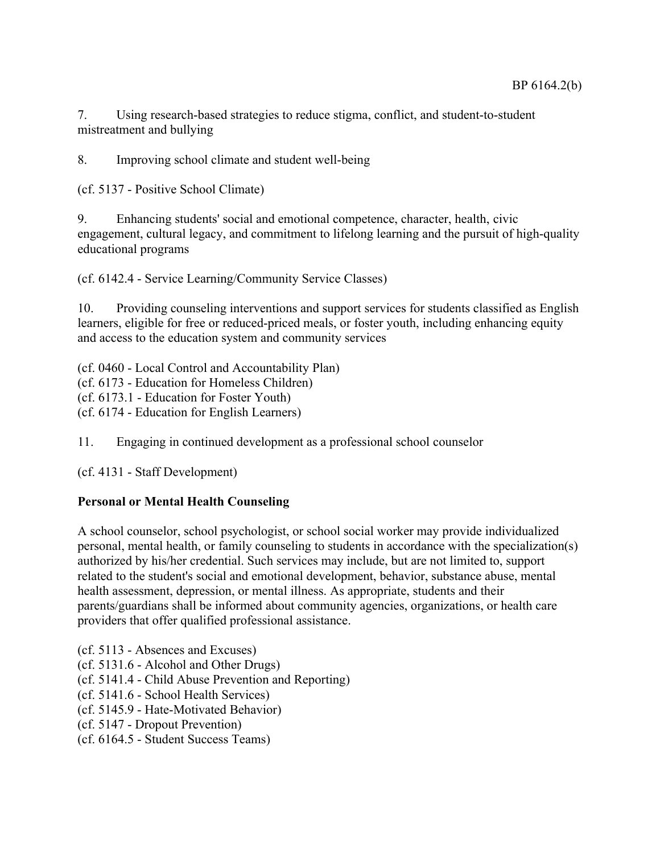7. Using research-based strategies to reduce stigma, conflict, and student-to-student mistreatment and bullying

8. Improving school climate and student well-being

(cf. 5137 - Positive School Climate)

9. Enhancing students' social and emotional competence, character, health, civic engagement, cultural legacy, and commitment to lifelong learning and the pursuit of high-quality educational programs

(cf. 6142.4 - Service Learning/Community Service Classes)

10. Providing counseling interventions and support services for students classified as English learners, eligible for free or reduced-priced meals, or foster youth, including enhancing equity and access to the education system and community services

(cf. 0460 - Local Control and Accountability Plan) (cf. 6173 - Education for Homeless Children) (cf. 6173.1 - Education for Foster Youth)

(cf. 6174 - Education for English Learners)

11. Engaging in continued development as a professional school counselor

(cf. 4131 - Staff Development)

# **Personal or Mental Health Counseling**

A school counselor, school psychologist, or school social worker may provide individualized personal, mental health, or family counseling to students in accordance with the specialization(s) authorized by his/her credential. Such services may include, but are not limited to, support related to the student's social and emotional development, behavior, substance abuse, mental health assessment, depression, or mental illness. As appropriate, students and their parents/guardians shall be informed about community agencies, organizations, or health care providers that offer qualified professional assistance.

- (cf. 5113 Absences and Excuses)
- (cf. 5131.6 Alcohol and Other Drugs)
- (cf. 5141.4 Child Abuse Prevention and Reporting)
- (cf. 5141.6 School Health Services)
- (cf. 5145.9 Hate-Motivated Behavior)
- (cf. 5147 Dropout Prevention)
- (cf. 6164.5 Student Success Teams)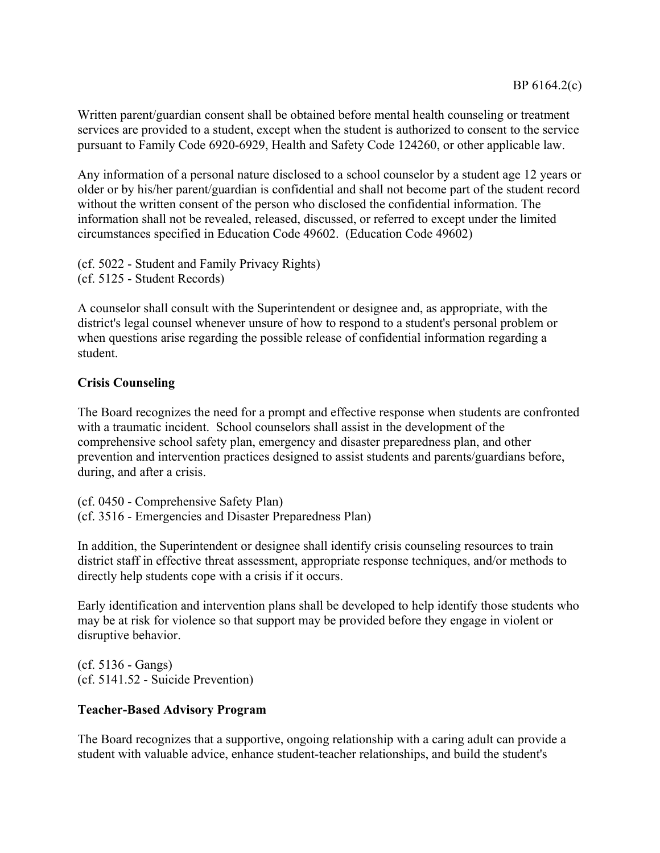Written parent/guardian consent shall be obtained before mental health counseling or treatment services are provided to a student, except when the student is authorized to consent to the service pursuant to Family Code 6920-6929, Health and Safety Code 124260, or other applicable law.

Any information of a personal nature disclosed to a school counselor by a student age 12 years or older or by his/her parent/guardian is confidential and shall not become part of the student record without the written consent of the person who disclosed the confidential information. The information shall not be revealed, released, discussed, or referred to except under the limited circumstances specified in Education Code 49602. (Education Code 49602)

(cf. 5022 - Student and Family Privacy Rights) (cf. 5125 - Student Records)

A counselor shall consult with the Superintendent or designee and, as appropriate, with the district's legal counsel whenever unsure of how to respond to a student's personal problem or when questions arise regarding the possible release of confidential information regarding a student.

# **Crisis Counseling**

The Board recognizes the need for a prompt and effective response when students are confronted with a traumatic incident. School counselors shall assist in the development of the comprehensive school safety plan, emergency and disaster preparedness plan, and other prevention and intervention practices designed to assist students and parents/guardians before, during, and after a crisis.

(cf. 0450 - Comprehensive Safety Plan) (cf. 3516 - Emergencies and Disaster Preparedness Plan)

In addition, the Superintendent or designee shall identify crisis counseling resources to train district staff in effective threat assessment, appropriate response techniques, and/or methods to directly help students cope with a crisis if it occurs.

Early identification and intervention plans shall be developed to help identify those students who may be at risk for violence so that support may be provided before they engage in violent or disruptive behavior.

(cf. 5136 - Gangs) (cf. 5141.52 - Suicide Prevention)

# **Teacher-Based Advisory Program**

The Board recognizes that a supportive, ongoing relationship with a caring adult can provide a student with valuable advice, enhance student-teacher relationships, and build the student's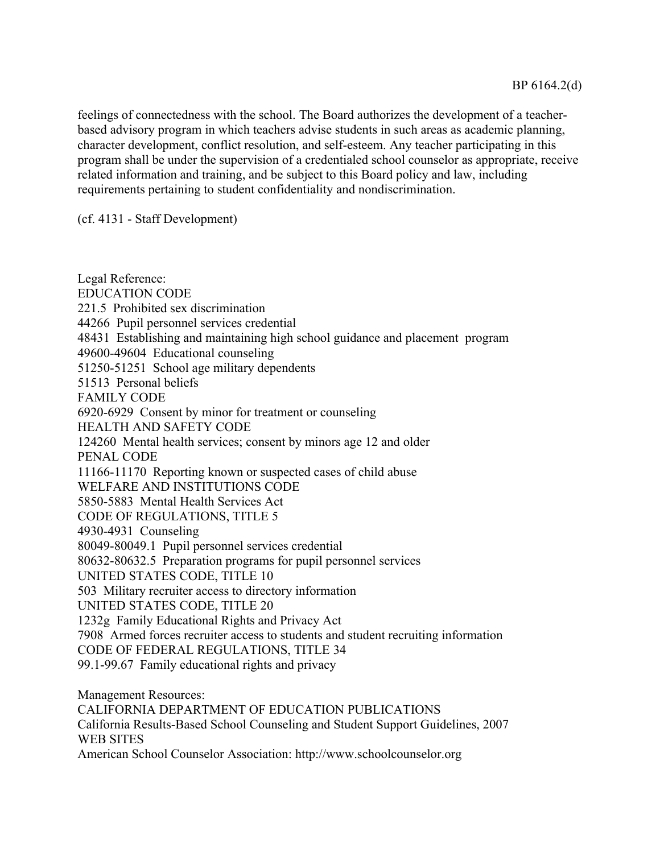feelings of connectedness with the school. The Board authorizes the development of a teacherbased advisory program in which teachers advise students in such areas as academic planning, character development, conflict resolution, and self-esteem. Any teacher participating in this program shall be under the supervision of a credentialed school counselor as appropriate, receive related information and training, and be subject to this Board policy and law, including requirements pertaining to student confidentiality and nondiscrimination.

(cf. 4131 - Staff Development)

Legal Reference: EDUCATION CODE 221.5 Prohibited sex discrimination 44266 Pupil personnel services credential 48431 Establishing and maintaining high school guidance and placement program 49600-49604 Educational counseling 51250-51251 School age military dependents 51513 Personal beliefs FAMILY CODE 6920-6929 Consent by minor for treatment or counseling HEALTH AND SAFETY CODE 124260 Mental health services; consent by minors age 12 and older PENAL CODE 11166-11170 Reporting known or suspected cases of child abuse WELFARE AND INSTITUTIONS CODE 5850-5883 Mental Health Services Act CODE OF REGULATIONS, TITLE 5 4930-4931 Counseling 80049-80049.1 Pupil personnel services credential 80632-80632.5 Preparation programs for pupil personnel services UNITED STATES CODE, TITLE 10 503 Military recruiter access to directory information UNITED STATES CODE, TITLE 20 1232g Family Educational Rights and Privacy Act 7908 Armed forces recruiter access to students and student recruiting information CODE OF FEDERAL REGULATIONS, TITLE 34 99.1-99.67 Family educational rights and privacy Management Resources: CALIFORNIA DEPARTMENT OF EDUCATION PUBLICATIONS California Results-Based School Counseling and Student Support Guidelines, 2007

WEB SITES

American School Counselor Association: http://www.schoolcounselor.org